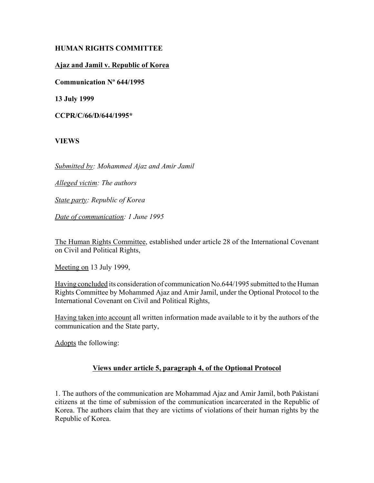# **HUMAN RIGHTS COMMITTEE**

# **Ajaz and Jamil v. Republic of Korea**

**Communication Nº 644/1995**

**13 July 1999**

**CCPR/C/66/D/644/1995\***

**VIEWS**

*Submitted by: Mohammed Ajaz and Amir Jamil* 

*Alleged victim: The authors* 

*State party: Republic of Korea* 

*Date of communication: 1 June 1995* 

The Human Rights Committee, established under article 28 of the International Covenant on Civil and Political Rights,

Meeting on 13 July 1999,

Having concluded its consideration of communication No.644/1995 submitted to the Human Rights Committee by Mohammed Ajaz and Amir Jamil, under the Optional Protocol to the International Covenant on Civil and Political Rights,

Having taken into account all written information made available to it by the authors of the communication and the State party,

Adopts the following:

## **Views under article 5, paragraph 4, of the Optional Protocol**

1. The authors of the communication are Mohammad Ajaz and Amir Jamil, both Pakistani citizens at the time of submission of the communication incarcerated in the Republic of Korea. The authors claim that they are victims of violations of their human rights by the Republic of Korea.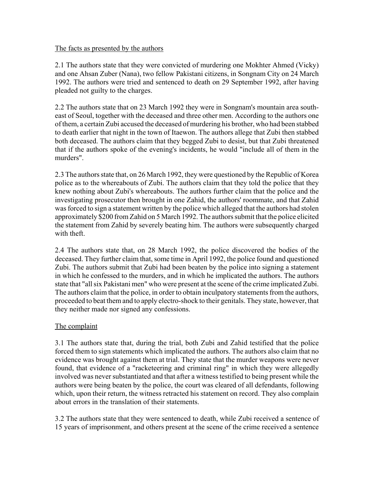#### The facts as presented by the authors

2.1 The authors state that they were convicted of murdering one Mokhter Ahmed (Vicky) and one Ahsan Zuber (Nana), two fellow Pakistani citizens, in Songnam City on 24 March 1992. The authors were tried and sentenced to death on 29 September 1992, after having pleaded not guilty to the charges.

2.2 The authors state that on 23 March 1992 they were in Songnam's mountain area southeast of Seoul, together with the deceased and three other men. According to the authors one of them, a certain Zubi accused the deceased of murdering his brother, who had been stabbed to death earlier that night in the town of Itaewon. The authors allege that Zubi then stabbed both deceased. The authors claim that they begged Zubi to desist, but that Zubi threatened that if the authors spoke of the evening's incidents, he would "include all of them in the murders".

2.3 The authors state that, on 26 March 1992, they were questioned by the Republic of Korea police as to the whereabouts of Zubi. The authors claim that they told the police that they knew nothing about Zubi's whereabouts. The authors further claim that the police and the investigating prosecutor then brought in one Zahid, the authors' roommate, and that Zahid was forced to sign a statement written by the police which alleged that the authors had stolen approximately \$200 from Zahid on 5 March 1992. The authors submit that the police elicited the statement from Zahid by severely beating him. The authors were subsequently charged with theft.

2.4 The authors state that, on 28 March 1992, the police discovered the bodies of the deceased. They further claim that, some time in April 1992, the police found and questioned Zubi. The authors submit that Zubi had been beaten by the police into signing a statement in which he confessed to the murders, and in which he implicated the authors. The authors state that "all six Pakistani men" who were present at the scene of the crime implicated Zubi. The authors claim that the police, in order to obtain inculpatory statements from the authors, proceeded to beat them and to apply electro-shock to their genitals. They state, however, that they neither made nor signed any confessions.

## The complaint

3.1 The authors state that, during the trial, both Zubi and Zahid testified that the police forced them to sign statements which implicated the authors. The authors also claim that no evidence was brought against them at trial. They state that the murder weapons were never found, that evidence of a "racketeering and criminal ring" in which they were allegedly involved was never substantiated and that after a witness testified to being present while the authors were being beaten by the police, the court was cleared of all defendants, following which, upon their return, the witness retracted his statement on record. They also complain about errors in the translation of their statements.

3.2 The authors state that they were sentenced to death, while Zubi received a sentence of 15 years of imprisonment, and others present at the scene of the crime received a sentence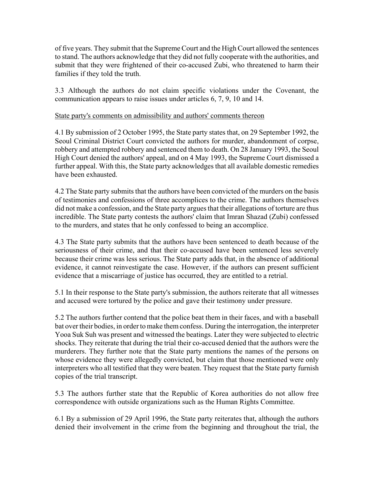of five years. They submit that the Supreme Court and the High Court allowed the sentences to stand. The authors acknowledge that they did not fully cooperate with the authorities, and submit that they were frightened of their co-accused Zubi, who threatened to harm their families if they told the truth.

3.3 Although the authors do not claim specific violations under the Covenant, the communication appears to raise issues under articles 6, 7, 9, 10 and 14.

#### State party's comments on admissibility and authors' comments thereon

4.1 By submission of 2 October 1995, the State party states that, on 29 September 1992, the Seoul Criminal District Court convicted the authors for murder, abandonment of corpse, robbery and attempted robbery and sentenced them to death. On 28 January 1993, the Seoul High Court denied the authors' appeal, and on 4 May 1993, the Supreme Court dismissed a further appeal. With this, the State party acknowledges that all available domestic remedies have been exhausted.

4.2 The State party submits that the authors have been convicted of the murders on the basis of testimonies and confessions of three accomplices to the crime. The authors themselves did not make a confession, and the State party argues that their allegations of torture are thus incredible. The State party contests the authors' claim that Imran Shazad (Zubi) confessed to the murders, and states that he only confessed to being an accomplice.

4.3 The State party submits that the authors have been sentenced to death because of the seriousness of their crime, and that their co-accused have been sentenced less severely because their crime was less serious. The State party adds that, in the absence of additional evidence, it cannot reinvestigate the case. However, if the authors can present sufficient evidence that a miscarriage of justice has occurred, they are entitled to a retrial.

5.1 In their response to the State party's submission, the authors reiterate that all witnesses and accused were tortured by the police and gave their testimony under pressure.

5.2 The authors further contend that the police beat them in their faces, and with a baseball bat over their bodies, in order to make them confess. During the interrogation, the interpreter Yooa Suk Suh was present and witnessed the beatings. Later they were subjected to electric shocks. They reiterate that during the trial their co-accused denied that the authors were the murderers. They further note that the State party mentions the names of the persons on whose evidence they were allegedly convicted, but claim that those mentioned were only interpreters who all testified that they were beaten. They request that the State party furnish copies of the trial transcript.

5.3 The authors further state that the Republic of Korea authorities do not allow free correspondence with outside organizations such as the Human Rights Committee.

6.1 By a submission of 29 April 1996, the State party reiterates that, although the authors denied their involvement in the crime from the beginning and throughout the trial, the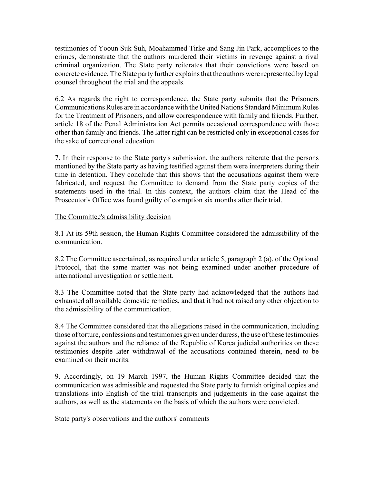testimonies of Yooun Suk Suh, Moahammed Tirke and Sang Jin Park, accomplices to the crimes, demonstrate that the authors murdered their victims in revenge against a rival criminal organization. The State party reiterates that their convictions were based on concrete evidence. The State party further explains that the authors were represented by legal counsel throughout the trial and the appeals.

6.2 As regards the right to correspondence, the State party submits that the Prisoners Communications Rules are in accordance with the United Nations Standard Minimum Rules for the Treatment of Prisoners, and allow correspondence with family and friends. Further, article 18 of the Penal Administration Act permits occasional correspondence with those other than family and friends. The latter right can be restricted only in exceptional cases for the sake of correctional education.

7. In their response to the State party's submission, the authors reiterate that the persons mentioned by the State party as having testified against them were interpreters during their time in detention. They conclude that this shows that the accusations against them were fabricated, and request the Committee to demand from the State party copies of the statements used in the trial. In this context, the authors claim that the Head of the Prosecutor's Office was found guilty of corruption six months after their trial.

#### The Committee's admissibility decision

8.1 At its 59th session, the Human Rights Committee considered the admissibility of the communication.

8.2 The Committee ascertained, as required under article 5, paragraph 2 (a), of the Optional Protocol, that the same matter was not being examined under another procedure of international investigation or settlement.

8.3 The Committee noted that the State party had acknowledged that the authors had exhausted all available domestic remedies, and that it had not raised any other objection to the admissibility of the communication.

8.4 The Committee considered that the allegations raised in the communication, including those of torture, confessions and testimonies given under duress, the use of these testimonies against the authors and the reliance of the Republic of Korea judicial authorities on these testimonies despite later withdrawal of the accusations contained therein, need to be examined on their merits.

9. Accordingly, on 19 March 1997, the Human Rights Committee decided that the communication was admissible and requested the State party to furnish original copies and translations into English of the trial transcripts and judgements in the case against the authors, as well as the statements on the basis of which the authors were convicted.

State party's observations and the authors' comments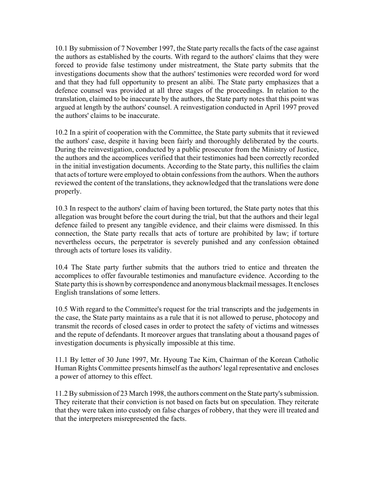10.1 By submission of 7 November 1997, the State party recalls the facts of the case against the authors as established by the courts. With regard to the authors' claims that they were forced to provide false testimony under mistreatment, the State party submits that the investigations documents show that the authors' testimonies were recorded word for word and that they had full opportunity to present an alibi. The State party emphasizes that a defence counsel was provided at all three stages of the proceedings. In relation to the translation, claimed to be inaccurate by the authors, the State party notes that this point was argued at length by the authors' counsel. A reinvestigation conducted in April 1997 proved the authors' claims to be inaccurate.

10.2 In a spirit of cooperation with the Committee, the State party submits that it reviewed the authors' case, despite it having been fairly and thoroughly deliberated by the courts. During the reinvestigation, conducted by a public prosecutor from the Ministry of Justice, the authors and the accomplices verified that their testimonies had been correctly recorded in the initial investigation documents. According to the State party, this nullifies the claim that acts of torture were employed to obtain confessions from the authors. When the authors reviewed the content of the translations, they acknowledged that the translations were done properly.

10.3 In respect to the authors' claim of having been tortured, the State party notes that this allegation was brought before the court during the trial, but that the authors and their legal defence failed to present any tangible evidence, and their claims were dismissed. In this connection, the State party recalls that acts of torture are prohibited by law; if torture nevertheless occurs, the perpetrator is severely punished and any confession obtained through acts of torture loses its validity.

10.4 The State party further submits that the authors tried to entice and threaten the accomplices to offer favourable testimonies and manufacture evidence. According to the State party this is shown by correspondence and anonymous blackmail messages. It encloses English translations of some letters.

10.5 With regard to the Committee's request for the trial transcripts and the judgements in the case, the State party maintains as a rule that it is not allowed to peruse, photocopy and transmit the records of closed cases in order to protect the safety of victims and witnesses and the repute of defendants. It moreover argues that translating about a thousand pages of investigation documents is physically impossible at this time.

11.1 By letter of 30 June 1997, Mr. Hyoung Tae Kim, Chairman of the Korean Catholic Human Rights Committee presents himself as the authors' legal representative and encloses a power of attorney to this effect.

11.2 By submission of 23 March 1998, the authors comment on the State party's submission. They reiterate that their conviction is not based on facts but on speculation. They reiterate that they were taken into custody on false charges of robbery, that they were ill treated and that the interpreters misrepresented the facts.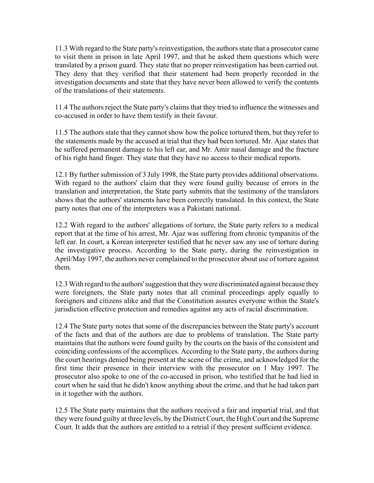11.3 With regard to the State party's reinvestigation, the authors state that a prosecutor came to visit them in prison in late April 1997, and that he asked them questions which were translated by a prison guard. They state that no proper reinvestigation has been carried out. They deny that they verified that their statement had been properly recorded in the investigation documents and state that they have never been allowed to verify the contents of the translations of their statements.

11.4 The authors reject the State party's claims that they tried to influence the witnesses and co-accused in order to have them testify in their favour.

11.5 The authors state that they cannot show how the police tortured them, but they refer to the statements made by the accused at trial that they had been tortured. Mr. Ajaz states that he suffered permanent damage to his left ear, and Mr. Amir nasal damage and the fracture of his right hand finger. They state that they have no access to their medical reports.

12.1 By further submission of 3 July 1998, the State party provides additional observations. With regard to the authors' claim that they were found guilty because of errors in the translation and interpretation, the State party submits that the testimony of the translators shows that the authors' statements have been correctly translated. In this context, the State party notes that one of the interpreters was a Pakistani national.

12.2 With regard to the authors' allegations of torture, the State party refers to a medical report that at the time of his arrest, Mr. Ajaz was suffering from chronic tympanitis of the left ear. In court, a Korean interpreter testified that he never saw any use of torture during the investigative process. According to the State party, during the reinvestigation in April/May 1997, the authors never complained to the prosecutor about use of torture against them.

12.3 With regard to the authors' suggestion that they were discriminated against because they were foreigners, the State party notes that all criminal proceedings apply equally to foreigners and citizens alike and that the Constitution assures everyone within the State's jurisdiction effective protection and remedies against any acts of racial discrimination.

12.4 The State party notes that some of the discrepancies between the State party's account of the facts and that of the authors are due to problems of translation. The State party maintains that the authors were found guilty by the courts on the basis of the consistent and coinciding confessions of the accomplices. According to the State party, the authors during the court hearings denied being present at the scene of the crime, and acknowledged for the first time their presence in their interview with the prosecutor on 1 May 1997. The prosecutor also spoke to one of the co-accused in prison, who testified that he had lied in court when he said that he didn't know anything about the crime, and that he had taken part in it together with the authors.

12.5 The State party maintains that the authors received a fair and impartial trial, and that they were found guilty at three levels, by the District Court, the High Court and the Supreme Court. It adds that the authors are entitled to a retrial if they present sufficient evidence.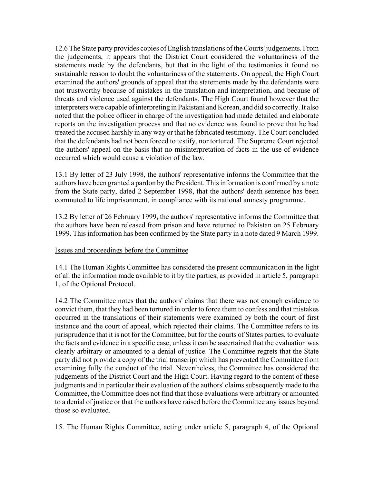12.6 The State party provides copies of English translations of the Courts' judgements. From the judgements, it appears that the District Court considered the voluntariness of the statements made by the defendants, but that in the light of the testimonies it found no sustainable reason to doubt the voluntariness of the statements. On appeal, the High Court examined the authors' grounds of appeal that the statements made by the defendants were not trustworthy because of mistakes in the translation and interpretation, and because of threats and violence used against the defendants. The High Court found however that the interpreters were capable of interpreting in Pakistani and Korean, and did so correctly. It also noted that the police officer in charge of the investigation had made detailed and elaborate reports on the investigation process and that no evidence was found to prove that he had treated the accused harshly in any way or that he fabricated testimony. The Court concluded that the defendants had not been forced to testify, nor tortured. The Supreme Court rejected the authors' appeal on the basis that no misinterpretation of facts in the use of evidence occurred which would cause a violation of the law.

13.1 By letter of 23 July 1998, the authors' representative informs the Committee that the authors have been granted a pardon by the President. This information is confirmed by a note from the State party, dated 2 September 1998, that the authors' death sentence has been commuted to life imprisonment, in compliance with its national amnesty programme.

13.2 By letter of 26 February 1999, the authors' representative informs the Committee that the authors have been released from prison and have returned to Pakistan on 25 February 1999. This information has been confirmed by the State party in a note dated 9 March 1999.

## Issues and proceedings before the Committee

14.1 The Human Rights Committee has considered the present communication in the light of all the information made available to it by the parties, as provided in article 5, paragraph 1, of the Optional Protocol.

14.2 The Committee notes that the authors' claims that there was not enough evidence to convict them, that they had been tortured in order to force them to confess and that mistakes occurred in the translations of their statements were examined by both the court of first instance and the court of appeal, which rejected their claims. The Committee refers to its jurisprudence that it is not for the Committee, but for the courts of States parties, to evaluate the facts and evidence in a specific case, unless it can be ascertained that the evaluation was clearly arbitrary or amounted to a denial of justice. The Committee regrets that the State party did not provide a copy of the trial transcript which has prevented the Committee from examining fully the conduct of the trial. Nevertheless, the Committee has considered the judgements of the District Court and the High Court. Having regard to the content of these judgments and in particular their evaluation of the authors' claims subsequently made to the Committee, the Committee does not find that those evaluations were arbitrary or amounted to a denial of justice or that the authors have raised before the Committee any issues beyond those so evaluated.

15. The Human Rights Committee, acting under article 5, paragraph 4, of the Optional